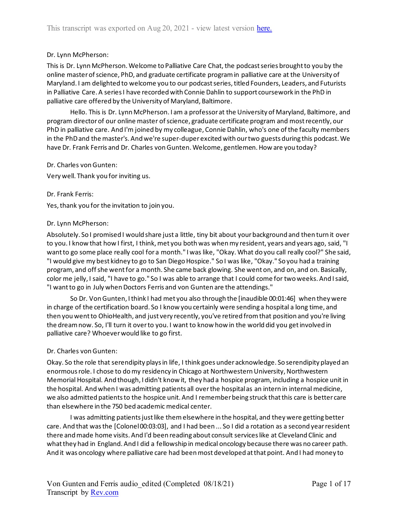### Dr. Lynn McPherson:

This is Dr. Lynn McPherson. Welcome to Palliative Care Chat, the podcast series brought to you by the online master of science, PhD, and graduate certificate program in palliative care at the University of Maryland. I am delighted to welcome you to our podcast series, titled Founders, Leaders, and Futurists in Palliative Care. A series I have recorded with Connie Dahlin to support coursework in the PhD in palliative care offered by the University of Maryland, Baltimore.

Hello. This is Dr. Lynn McPherson. I am a professor at the University of Maryland, Baltimore, and program director of our online master of science, graduate certificate program and most recently, our PhD in palliative care. And I'm joined by my colleague, Connie Dahlin, who's one of the faculty members in the PhD and the master's. And we're super-duper excited with our two guests during this podcast. We have Dr. Frank Ferris and Dr. Charles von Gunten. Welcome, gentlemen. How are you today?

#### Dr. Charles von Gunten:

Very well. Thank you for inviting us.

#### Dr. Frank Ferris:

Yes, thank you for the invitation to join you.

#### Dr. Lynn McPherson:

Absolutely. So I promised I would share just a little, tiny bit about your background and then turn it over to you. I know that how I first, I think, met you both was when my resident, years and years ago, said, "I want to go some place really cool for a month." I was like, "Okay. What do you call really cool?" She said, "I would give my best kidney to go to San Diego Hospice." So I was like, "Okay." So you had a training program, and off she went for a month. She came back glowing. She went on, and on, and on. Basically, color me jelly, I said, "I have to go." So I was able to arrange that I could come for two weeks. And I said, "I want to go in July when Doctors Ferris and von Gunten are the attendings."

So Dr. Von Gunten, I think I had met you also through the [inaudible 00:01:46] when they were in charge of the certification board. So I know you certainly were sending a hospital a long time, and then you went to OhioHealth, and just very recently, you've retired from that position and you're living the dream now. So, I'll turn it over to you. I want to know how in the world did you get involved in palliative care? Whoever would like to go first.

#### Dr. Charles von Gunten:

Okay. So the role that serendipity plays in life, I think goes under acknowledge. So serendipity played an enormous role. I chose to do my residency in Chicago at Northwestern University, Northwestern Memorial Hospital. And though, I didn't know it, they had a hospice program, including a hospice unit in the hospital. And when I was admitting patients all over the hospital as an intern in internal medicine, we also admitted patients to the hospice unit. And I remember being struck that this care is better care than elsewhere in the 750 bed academic medical center.

I was admitting patients just like them elsewhere in the hospital, and they were getting better care. And that was the [Colonel 00:03:03], and I had been ... So I did a rotation as a second year resident there and made home visits. And I'd been reading about consult services like at Cleveland Clinic and what they had in England. And I did a fellowship in medical oncology because there was no career path. And it was oncology where palliative care had been most developed at that point. And I had money to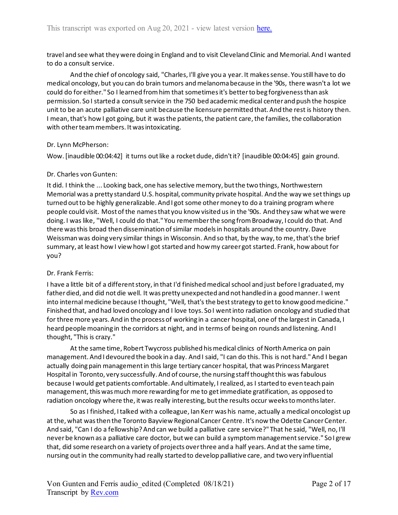travel and see what they were doing in England and to visit Cleveland Clinic and Memorial. And I wanted to do a consult service.

And the chief of oncology said, "Charles, I'll give you a year. It makes sense. You still have to do medical oncology, but you can do brain tumors and melanoma because in the '90s, there wasn't a lot we could do for either." So I learned from him that sometimes it's better to beg forgiveness than ask permission. So I started a consult service in the 750 bed academic medical center and push the hospice unit to be an acute palliative care unit because the licensure permitted that. And the rest is history then. I mean, that's how I got going, but it was the patients, the patient care, the families, the collaboration with other team members. It was intoxicating.

#### Dr. Lynn McPherson:

Wow. [inaudible 00:04:42] it turns out like a rocket dude, didn't it? [inaudible 00:04:45] gain ground.

### Dr. Charles von Gunten:

It did. I think the ... Looking back, one has selective memory, but the two things, Northwestern Memorial was a pretty standard U.S. hospital, community private hospital. And the way we set things up turned out to be highly generalizable. And I got some other money to do a training program where people could visit. Most of the names that you know visited us in the '90s. And they saw what we were doing. I was like, "Well, I could do that." You remember the song from Broadway, I could do that. And there was this broad then dissemination of similar models in hospitals around the country. Dave Weissman was doing very similar things in Wisconsin. And so that, by the way, to me, that's the brief summary, at least how I view how I got started and how my career got started. Frank, how about for you?

## Dr. Frank Ferris:

I have a little bit of a different story, in that I'd finished medical school and just before I graduated, my father died, and did not die well. It was pretty unexpected and not handled in a good manner. I went into internal medicine because I thought, "Well, that's the best strategy to get to know good medicine." Finished that, and had loved oncology and I love toys. So I went into radiation oncology and studied that for three more years. And in the process of working in a cancer hospital, one of the largest in Canada, I heard people moaning in the corridors at night, and in terms of being on rounds and listening. And I thought, "This is crazy."

At the same time, Robert Twycross published his medical clinics of North America on pain management. And I devoured the book in a day. And I said, "I can do this. This is not hard." And I began actually doing pain management in this large tertiary cancer hospital, that was Princess Margaret Hospital in Toronto, very successfully. And of course, the nursing staff thought this was fabulous because I would get patients comfortable. And ultimately, I realized, as I started to even teach pain management, thiswas much more rewarding for me to get immediate gratification, as opposed to radiation oncology where the, it was really interesting, but the results occur weeks to months later.

So as I finished, I talked with a colleague, Ian Kerr was his name, actually a medical oncologist up at the, what was then the Toronto Bayview Regional Cancer Centre. It's now the Odette Cancer Center. And said, "Can I do a fellowship? And can we build a palliative care service?" That he said, "Well, no, I'll never be known as a palliative care doctor, but we can build a symptom management service." So I grew that, did some research on a variety of projects over three and a half years. And at the same time, nursing out in the community had really started to develop palliative care, and two very influential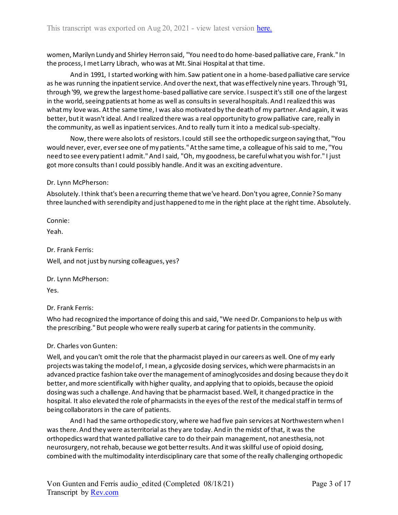women, Marilyn Lundy and Shirley Herron said, "You need to do home-based palliative care, Frank." In the process, I met Larry Librach, who was at Mt. Sinai Hospital at that time.

And in 1991, I started working with him. Saw patient one in a home-based palliative care service as he was running the inpatient service. And over the next, that was effectively nine years. Through '91, through '99, we grew the largest home-based palliative care service. I suspect it's still one of the largest in the world, seeing patients at home as well as consults in several hospitals. And I realized this was what my love was. At the same time, I was also motivated by the death of my partner. And again, it was better, but it wasn't ideal. And I realized there was a real opportunity to grow palliative care, really in the community, as well as inpatient services. And to really turn it into a medical sub-specialty.

Now, there were also lots of resistors. I could still see the orthopedic surgeon saying that, "You would never, ever, ever see one of my patients." At the same time, a colleague of his said to me, "You need to see every patient I admit." And I said, "Oh, my goodness, be careful what you wish for." I just got more consults than I could possibly handle. And it was an exciting adventure.

#### Dr. Lynn McPherson:

Absolutely. I think that's been a recurring theme that we've heard. Don't you agree, Connie? So many three launched with serendipity and just happened to me in the right place at the right time. Absolutely.

Connie:

Yeah.

Dr. Frank Ferris: Well, and not just by nursing colleagues, yes?

Dr. Lynn McPherson:

Yes.

Dr. Frank Ferris:

Who had recognized the importance of doing this and said, "We need Dr. Companions to help us with the prescribing." But people who were really superb at caring for patients in the community.

## Dr. Charles von Gunten:

Well, and you can't omit the role that the pharmacist played in our careers as well. One of my early projects was taking the model of, I mean, a glycoside dosing services, which were pharmacists in an advanced practice fashion take over the management of aminoglycosides and dosing because they do it better, and more scientifically with higher quality, and applying that to opioids, because the opioid dosing was such a challenge. And having that be pharmacist based. Well, it changed practice in the hospital. It also elevated the role of pharmacists in the eyes of the rest of the medical staff in terms of being collaborators in the care of patients.

And I had the same orthopedic story, where we had five pain services at Northwestern when I was there. And they were as territorial as they are today. And in the midst of that, it was the orthopedics ward that wanted palliative care to do their pain management, not anesthesia, not neurosurgery, not rehab, because we got better results. And it was skillful use of opioid dosing, combined with the multimodality interdisciplinary care that some of the really challenging orthopedic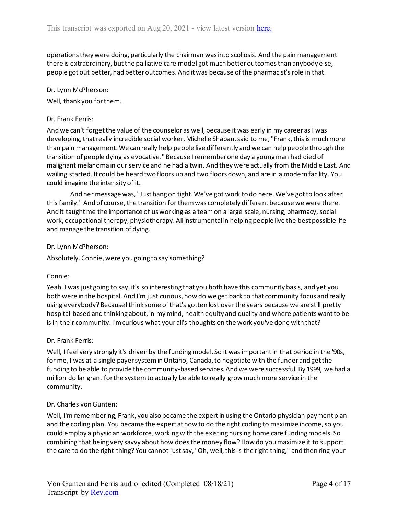operations they were doing, particularly the chairman was into scoliosis. And the pain management there is extraordinary, but the palliative care model got much better outcomes than anybody else, people got out better, had better outcomes. And it was because of the pharmacist's role in that.

#### Dr. Lynn McPherson:

Well, thank you for them.

#### Dr. Frank Ferris:

And we can't forget the value of the counselor as well, because it was early in my career as I was developing, that really incredible social worker, Michelle Shaban, said to me, "Frank, this is much more than pain management. We can really help people live differently and we can help people through the transition of people dying as evocative." Because I remember one day a young man had died of malignant melanoma in our service and he had a twin. And they were actually from the Middle East. And wailing started. It could be heard two floors up and two floors down, and are in a modern facility. You could imagine the intensity of it.

And her message was, "Just hang on tight. We've got work to do here. We've got to look after this family." And of course, the transition for them was completely different because we were there. And it taught me the importance of us working as a team on a large scale, nursing, pharmacy, social work, occupational therapy, physiotherapy. All instrumental in helping people live the best possible life and manage the transition of dying.

#### Dr. Lynn McPherson:

Absolutely. Connie, were you going to say something?

#### Connie:

Yeah. I was just going to say, it's so interesting that you both have this community basis, and yet you both were in the hospital. And I'm just curious, how do we get back to that community focus and really using everybody? Because I think some of that's gotten lost over the years because we are still pretty hospital-based and thinking about, in my mind, health equity and quality and where patients want to be is in their community. I'm curious what your all's thoughts on the work you've done with that?

#### Dr. Frank Ferris:

Well, I feel very strongly it's driven by the funding model. So it was important in that period in the '90s, for me, I was at a single payer system in Ontario, Canada, to negotiate with the funder and get the funding to be able to provide the community-based services. And we were successful. By 1999, we had a million dollar grant for the system to actually be able to really grow much more service in the community.

#### Dr. Charles von Gunten:

Well, I'm remembering, Frank, you also became the expert in using the Ontario physician payment plan and the coding plan. You became the expert at how to do the right coding to maximize income, so you could employ a physician workforce, working with the existing nursing home care funding models. So combining that being very savvy about how does the money flow? How do you maximize it to support the care to do the right thing? You cannot just say, "Oh, well, this is the right thing," and then ring your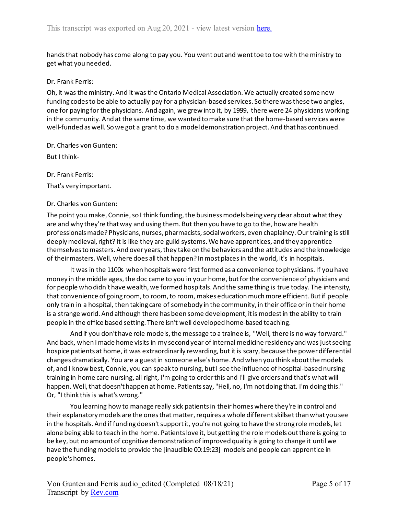hands that nobody has come along to pay you. You went out and went toe to toe with the ministry to get what you needed.

#### Dr. Frank Ferris:

Oh, it was the ministry. And it was the Ontario Medical Association. We actually created some new funding codes to be able to actually pay for a physician-based services. So there was these two angles, one for paying for the physicians. And again, we grew into it, by 1999, there were 24 physicians working in the community. And at the same time, we wanted to make sure that the home-based services were well-funded as well. So we got a grant to do a model demonstration project. And that has continued.

Dr. Charles von Gunten:

But I think-

Dr. Frank Ferris:

That's very important.

#### Dr. Charles von Gunten:

The point you make, Connie, so I think funding, the business models being very clear about what they are and why they're that way and using them. But then you have to go to the, how are health professionals made? Physicians, nurses, pharmacists, social workers, even chaplaincy. Our training is still deeply medieval, right? It is like they are guild systems. We have apprentices, and they apprentice themselves to masters. And over years, they take on the behaviors and the attitudes and the knowledge of their masters. Well, where does all that happen? In most places in the world, it's in hospitals.

It was in the 1100s when hospitals were first formed as a convenience to physicians. If you have money in the middle ages, the doc came to you in your home, but for the convenience of physicians and for people who didn't have wealth, we formed hospitals. And the same thing is true today. The intensity, that convenience of going room, to room, to room, makes education much more efficient. But if people only train in a hospital, then taking care of somebody in the community, in their office or in their home is a strange world. And although there has been some development, it is modest in the ability to train people in the office based setting. There isn't well developed home-based teaching.

And if you don't have role models, the message to a trainee is, "Well, there is no way forward." And back, when I made home visits in my second year of internal medicine residency and was just seeing hospice patients at home, it was extraordinarily rewarding, but it is scary, because the power differential changes dramatically. You are a guest in someone else's home. And when you think about the models of, and I know best, Connie, you can speak to nursing, but I see the influence of hospital-based nursing training in home care nursing, all right, I'm going to order this and I'll give orders and that's what will happen. Well, that doesn't happen at home. Patients say, "Hell, no, I'm not doing that. I'm doing this." Or, "I think this is what's wrong."

You learning how to manage really sick patients in their homes where they're in control and their explanatory models are the ones that matter, requires a whole different skillset than what you see in the hospitals. And if funding doesn't support it, you're not going to have the strong role models, let alone being able to teach in the home. Patients love it, but getting the role models out there is going to be key, but no amount of cognitive demonstration of improved quality is going to change it until we have the funding models to provide the [inaudible 00:19:23] models and people can apprentice in people's homes.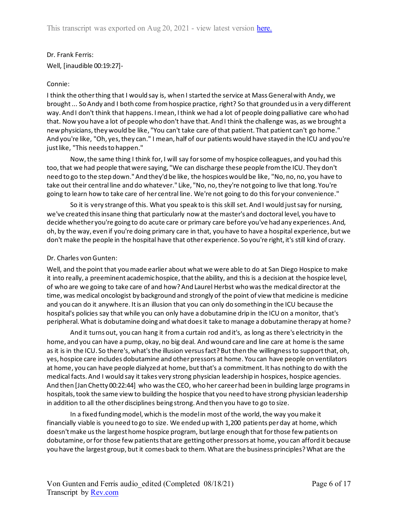Dr. Frank Ferris: Well, [inaudible 00:19:27]-

## Connie:

I think the other thing that I would say is, when I started the service at Mass General with Andy, we brought ... So Andy and I both come from hospice practice, right? So that grounded us in a very different way. And I don't think that happens. I mean, I think we had a lot of people doing palliative care who had that. Now you have a lot of people who don't have that. And I think the challenge was, as we brought a new physicians, they would be like, "You can't take care of that patient. That patient can't go home." And you're like, "Oh, yes, they can." I mean, half of our patients would have stayed in the ICU and you're just like, "This needs to happen."

Now, the same thing I think for, I will say for some of my hospice colleagues, and you had this too, that we had people that were saying, "We can discharge these people from the ICU. They don't need to go to the step down." And they'd be like, the hospices would be like, "No, no, no, you have to take out their central line and do whatever." Like, "No, no, they're not going to live that long. You're going to learn how to take care of her central line. We're not going to do this for your convenience."

So it is very strange of this. What you speak to is this skill set. And I would just say for nursing, we've created this insane thing that particularly now at the master's and doctoral level, you have to decide whether you're going to do acute care or primary care before you've had any experiences. And, oh, by the way, even if you're doing primary care in that, you have to have a hospital experience, but we don't make the people in the hospital have that other experience. So you're right, it's still kind of crazy.

## Dr. Charles von Gunten:

Well, and the point that you made earlier about what we were able to do at San Diego Hospice to make it into really, a preeminent academic hospice, that the ability, and this is a decision at the hospice level, of who are we going to take care of and how? And Laurel Herbst who was the medical director at the time, was medical oncologist by background and strongly of the point of view that medicine is medicine and you can do it anywhere. It is an illusion that you can only do something in the ICU because the hospital's policies say that while you can only have a dobutamine drip in the ICU on a monitor, that's peripheral. What is dobutamine doing and what does it take to manage a dobutamine therapy at home?

And it turns out, you can hang it from a curtain rod and it's, as long as there's electricity in the home, and you can have a pump, okay, no big deal. And wound care and line care at home is the same as it is in the ICU. So there's, what's the illusion versus fact? But then the willingness to support that, oh, yes, hospice care includes dobutamine and other pressors at home. You can have people on ventilators at home, you can have people dialyzed at home, but that's a commitment. It has nothing to do with the medical facts. And I would say it takes very strong physician leadership in hospices, hospice agencies. And then [Jan Chetty 00:22:44] who was the CEO, who her career had been in building large programs in hospitals, took the same view to building the hospice that you need to have strong physician leadership in addition to all the other disciplines being strong. And then you have to go to size.

In a fixed funding model, which is the model in most of the world, the way you make it financially viable is you need to go to size. We ended up with 1,200 patients per day at home, which doesn't make us the largest home hospice program, but large enough that for those few patients on dobutamine, or for those few patients that are getting other pressors at home, you can afford it because you have the largest group, but it comes back to them. What are the business principles? What are the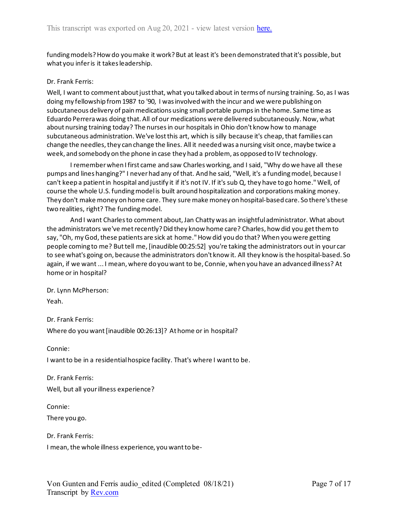funding models? How do you make it work? But at least it's been demonstrated that it's possible, but what you infer is it takes leadership.

#### Dr. Frank Ferris:

Well, I want to comment about just that, what you talked about in terms of nursing training. So, as I was doing my fellowship from 1987 to '90, I was involved with the incur and we were publishing on subcutaneous delivery of pain medications using small portable pumps in the home. Same time as Eduardo Perrera was doing that. All of our medications were delivered subcutaneously. Now, what about nursing training today? The nurses in our hospitals in Ohio don't know how to manage subcutaneous administration. We've lost this art, which is silly because it's cheap, that families can change the needles, they can change the lines. All it needed was a nursing visit once, maybe twice a week, and somebody on the phone in case they had a problem, as opposed to IV technology.

I remember when I first came and saw Charles working, and I said, "Why do we have all these pumps and lines hanging?" I never had any of that. And he said, "Well, it's a funding model, because I can't keep a patient in hospital and justify it if it's not IV. If it's sub Q, they have to go home." Well, of course the whole U.S. funding model is built around hospitalization and corporations making money. They don't make money on home care. They sure make money on hospital-based care. So there's these two realities, right? The funding model.

And I want Charles to comment about, Jan Chatty was an insightful administrator. What about the administrators we've met recently? Did they know home care? Charles, how did you get them to say, "Oh, my God, these patients are sick at home." How did you do that? When you were getting people coming to me? But tell me, [inaudible 00:25:52] you're taking the administrators out in your car to see what's going on, because the administrators don't know it. All they know is the hospital-based. So again, if we want ... I mean, where do you want to be, Connie, when you have an advanced illness? At home or in hospital?

Dr. Lynn McPherson: Yeah.

Dr. Frank Ferris: Where do you want [inaudible 00:26:13]? At home or in hospital?

Connie:

I want to be in a residential hospice facility. That's where I want to be.

Dr. Frank Ferris: Well, but all your illness experience?

Connie: There you go.

Dr. Frank Ferris:

I mean, the whole illness experience, you want to be-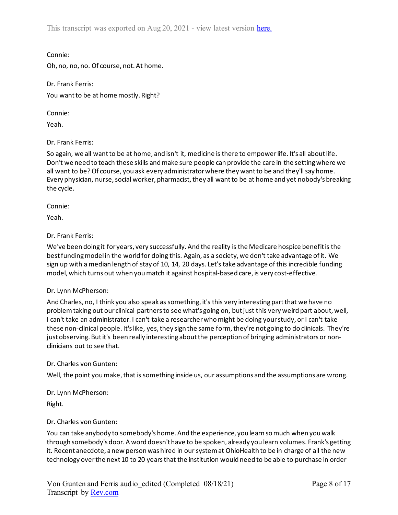This transcript was exported on Aug 20, 2021 - view latest version [here.](https://www.rev.com/transcript-editor/Edit?token=wMzmseFcL6gjJGNLQ9I81FOn7bzFSgVXeWT7Ns6j4NW0wa91RJosvwPKYFzMUakMbCLaFmjTUrHj0vyobQp59xnb4kU&loadFrom=DocumentHeaderDeepLink)

Connie:

Oh, no, no, no. Of course, not. At home.

Dr. Frank Ferris: You want to be at home mostly. Right?

Connie:

Yeah.

Dr. Frank Ferris:

So again, we all want to be at home, and isn't it, medicine is there to empower life. It's all about life. Don't we need to teach these skills and make sure people can provide the care in the setting where we all want to be? Of course, you ask every administrator where they want to be and they'll say home. Every physician, nurse, social worker, pharmacist, they all want to be at home and yet nobody's breaking the cycle.

Connie:

Yeah.

## Dr. Frank Ferris:

We've been doing it for years, very successfully. And the reality is the Medicare hospice benefit is the best funding model in the world for doing this. Again, as a society, we don't take advantage of it. We sign up with a median length of stay of 10, 14, 20 days. Let's take advantage of this incredible funding model, which turns out when you match it against hospital-based care, is very cost-effective.

#### Dr. Lynn McPherson:

And Charles, no, I think you also speak as something, it's this very interesting part that we have no problem taking out our clinical partners to see what's going on, but just this very weird part about, well, I can't take an administrator. I can't take a researcher who might be doing your study, or I can't take these non-clinical people. It's like, yes, they sign the same form, they're not going to do clinicals. They're just observing. But it's been really interesting about the perception of bringing administrators or nonclinicians out to see that.

#### Dr. Charles von Gunten:

Well, the point you make, that is something inside us, our assumptions and the assumptions are wrong.

## Dr. Lynn McPherson:

Right.

## Dr. Charles von Gunten:

You can take anybody to somebody's home. And the experience, you learn so much when you walk through somebody's door. A word doesn't have to be spoken, already you learn volumes. Frank's getting it. Recent anecdote, a new person was hired in our system at OhioHealth to be in charge of all the new technology over the next 10 to 20 years that the institution would need to be able to purchase in order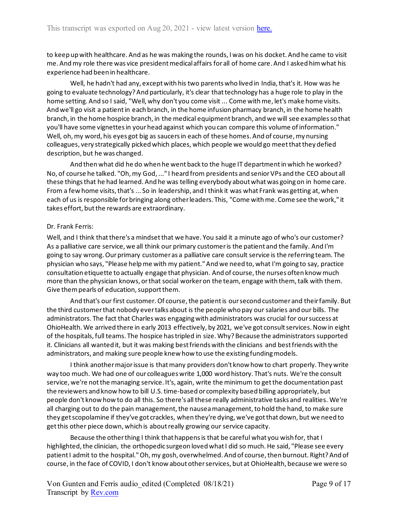to keep up with healthcare. And as he was making the rounds, I was on his docket. And he came to visit me. And my role there was vice president medical affairs for all of home care. And I asked him what his experience had been in healthcare.

Well, he hadn't had any, except with his two parents who lived in India, that's it. How was he going to evaluate technology? And particularly, it's clear that technology has a huge role to play in the home setting. And so I said, "Well, why don't you come visit ... Come with me, let's make home visits. And we'll go visit a patient in each branch, in the home infusion pharmacy branch, in the home health branch, in the home hospice branch, in the medical equipment branch, and we will see examples so that you'll have some vignettes in your head against which you can compare this volume of information." Well, oh, my word, his eyes got big as saucers in each of these homes. And of course, my nursing colleagues, very strategically picked which places, which people we would go meet that they defied description, but he was changed.

And then what did he do when he went back to the huge IT department in which he worked? No, of course he talked. "Oh, my God, ..." I heard from presidents and senior VPs and the CEO about all these things that he had learned. And he was telling everybody about what was going on in home care. From a few home visits, that's ... So in leadership, and I think it was what Frank was getting at, when each of us is responsible for bringing along other leaders. This, "Come with me. Come see the work," it takes effort, but the rewards are extraordinary.

#### Dr. Frank Ferris:

Well, and I think that there's a mindset that we have. You said it a minute ago of who's our customer? As a palliative care service, we all think our primary customer is the patient and the family. And I'm going to say wrong. Our primary customer as a palliative care consult service is the referring team. The physician who says, "Please help me with my patient." And we need to, what I'm going to say, practice consultation etiquette to actually engage that physician. And of course, the nurses often know much more than the physician knows, or that social worker on the team, engage with them, talk with them. Give them pearls of education, support them.

And that's our first customer. Of course, the patient is our second customer and their family. But the third customer that nobody ever talks about is the people who pay our salaries and our bills. The administrators. The fact that Charles was engaging with administrators was crucial for our success at OhioHealth. We arrived there in early 2013 effectively, by 2021, we've got consult services. Now in eight of the hospitals, full teams. The hospice has tripled in size. Why? Because the administrators supported it. Clinicians all wanted it, but it was making best friends with the clinicians and best friends with the administrators, and making sure people knew how to use the existing funding models.

I think another major issue is that many providers don't know how to chart properly. They write way too much. We had one of our colleagues write 1,000 word history. That's nuts. We're the consult service, we're not the managing service. It's, again, write the minimum to get the documentation past the reviewers and know how to bill U.S. time-based or complexity based billing appropriately, but people don't know how to do all this. So there's all these really administrative tasks and realities. We're all charging out to do the pain management, the nausea management, to hold the hand, to make sure they get scopolamine if they've got crackles, when they're dying, we've got that down, but we need to get this other piece down, which is about really growing our service capacity.

Because the other thing I think that happens is that be careful what you wish for, that I highlighted, the clinician, the orthopedic surgeon loved what I did so much. He said, "Please see every patient I admit to the hospital." Oh, my gosh, overwhelmed. And of course, then burnout. Right? And of course, in the face of COVID, I don't know about other services, but at OhioHealth, because we were so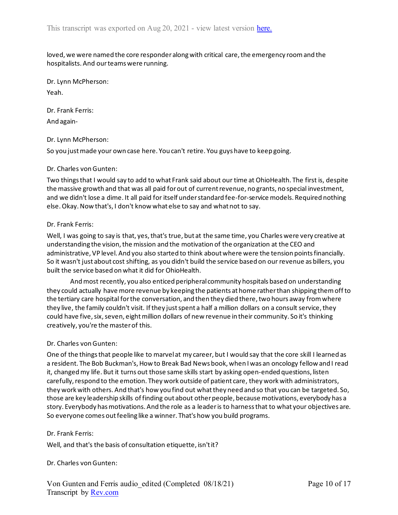loved, we were named the core responder along with critical care, the emergency room and the hospitalists. And our teams were running.

Dr. Lynn McPherson: Yeah.

Dr. Frank Ferris:

And again-

### Dr. Lynn McPherson:

So you just made your own case here. You can't retire. You guys have to keep going.

#### Dr. Charles von Gunten:

Two things that I would say to add to what Frank said about our time at OhioHealth. The first is, despite the massive growth and that was all paid for out of current revenue, no grants, no special investment, and we didn't lose a dime. It all paid for itself under standard fee-for-service models. Required nothing else. Okay. Now that's, I don't know what else to say and what not to say.

### Dr. Frank Ferris:

Well, I was going to say is that, yes, that's true, but at the same time, you Charles were very creative at understanding the vision, the mission and the motivation of the organization at the CEO and administrative, VP level. And you also started to think about where were the tension points financially. So it wasn't just about cost shifting, as you didn't build the service based on our revenue as billers, you built the service based on what it did for OhioHealth.

And most recently, you also enticed peripheral community hospitals based on understanding they could actually have more revenue by keeping the patients at home rather than shipping them off to the tertiary care hospital for the conversation, and then they died there, two hours away from where they live, the family couldn't visit. If they just spent a half a million dollars on a consult service, they could have five, six, seven, eight million dollars of new revenue in their community. So it's thinking creatively, you're the master of this.

#### Dr. Charles von Gunten:

One of the things that people like to marvel at my career, but I would say that the core skill I learned as a resident. The Bob Buckman's, How to Break Bad News book, when I was an oncology fellow and I read it, changed my life. But it turns out those same skills start by asking open-ended questions, listen carefully, respond to the emotion. They work outside of patient care, they work with administrators, they work with others. And that's how you find out what they need and so that you can be targeted. So, those are key leadership skills of finding out about other people, because motivations, everybody has a story. Everybody has motivations. And the role as a leader is to harness that to what your objectives are. So everyone comes out feeling like a winner. That's how you build programs.

#### Dr. Frank Ferris:

Well, and that's the basis of consultation etiquette, isn't it?

## Dr. Charles von Gunten: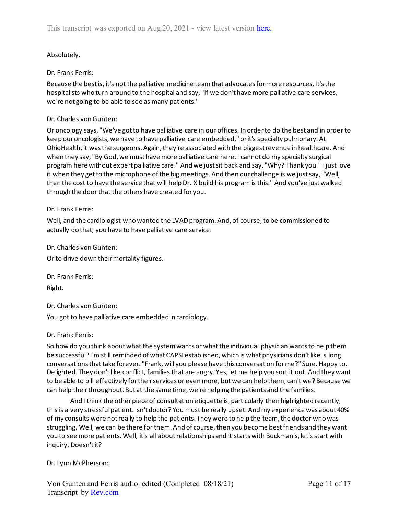# Absolutely.

## Dr. Frank Ferris:

Because the best is, it's not the palliative medicine team that advocates for more resources. It's the hospitalists who turn around to the hospital and say, "If we don't have more palliative care services, we're not going to be able to see as many patients."

### Dr. Charles von Gunten:

Or oncology says, "We've got to have palliative care in our offices. In order to do the best and in order to keep our oncologists, we have to have palliative care embedded," or it's specialty pulmonary. At OhioHealth, it was the surgeons. Again, they're associated with the biggest revenue in healthcare. And when they say, "By God, we must have more palliative care here. I cannot do my specialty surgical program here without expert palliative care." And we just sit back and say, "Why? Thank you." I just love it when they get to the microphone of the big meetings. And then our challenge is we just say, "Well, then the cost to have the service that will help Dr. X build his program is this." And you've just walked through the door that the others have created for you.

### Dr. Frank Ferris:

Well, and the cardiologist who wanted the LVAD program. And, of course, to be commissioned to actually do that, you have to have palliative care service.

Dr. Charles von Gunten:

Or to drive down their mortality figures.

Dr. Frank Ferris: Right.

Dr. Charles von Gunten:

You got to have palliative care embedded in cardiology.

#### Dr. Frank Ferris:

So how do you think about what the system wants or what the individual physician wants to help them be successful? I'm still reminded of what CAPSI established, which is what physicians don't like is long conversations that take forever. "Frank, will you please have this conversation for me?" Sure. Happy to. Delighted. They don't like conflict, families that are angry. Yes, let me help you sort it out. And they want to be able to bill effectively for their services or even more, but we can help them, can't we? Because we can help their throughput. But at the same time, we're helping the patients and the families.

And I think the other piece of consultation etiquette is, particularly then highlighted recently, this is a very stressful patient. Isn't doctor? You must be really upset. And my experience was about 40% of my consults were not really to help the patients. They were to help the team, the doctor who was struggling. Well, we can be there for them. And of course, then you become best friends and they want you to see more patients. Well, it's all about relationships and it starts with Buckman's, let's start with inquiry. Doesn't it?

Dr. Lynn McPherson: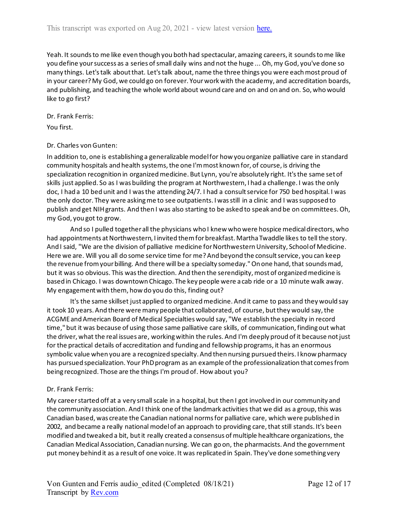Yeah. It sounds to me like even though you both had spectacular, amazing careers, it sounds to me like you define your success as a series of small daily wins and not the huge ... Oh, my God, you've done so many things. Let's talk about that. Let's talk about, name the three things you were each most proud of in your career? My God, we could go on forever. Your work with the academy, and accreditation boards, and publishing, and teaching the whole world about wound care and on and on and on. So, who would like to go first?

Dr. Frank Ferris:

You first.

### Dr. Charles von Gunten:

In addition to, one is establishing a generalizable model for how you organize palliative care in standard community hospitals and health systems, the one I'm most known for, of course, is driving the specialization recognition in organized medicine. But Lynn, you're absolutely right. It's the same set of skills just applied. So as I was building the program at Northwestern, I had a challenge. I was the only doc, I had a 10 bed unit and I was the attending 24/7. I had a consult service for 750 bed hospital. I was the only doctor. They were asking me to see outpatients. I was still in a clinic and I was supposed to publish and get NIH grants. And then I was also starting to be asked to speak and be on committees. Oh, my God, you got to grow.

And so I pulled together all the physicians who I knew who were hospice medical directors, who had appointments at Northwestern, I invited them for breakfast. Martha Twaddle likes to tell the story. And I said, "We are the division of palliative medicine for Northwestern University, School of Medicine. Here we are. Will you all do some service time for me? And beyond the consult service, you can keep the revenue from your billing. And there will be a specialty someday." On one hand, that sounds mad, but it was so obvious. This was the direction. And then the serendipity, most of organized medicine is based in Chicago. I was downtown Chicago. The key people were a cab ride or a 10 minute walk away. My engagement with them, how do you do this, finding out?

It's the same skillset just applied to organized medicine. And it came to pass and they would say it took 10 years. And there were many people that collaborated, of course, but they would say, the ACGME and American Board of Medical Specialties would say, "We establish the specialty in record time," but it was because of using those same palliative care skills, of communication, finding out what the driver, what the real issues are, working within the rules. And I'm deeply proud of it because not just for the practical details of accreditation and funding and fellowship programs, it has an enormous symbolic value when you are a recognized specialty. And then nursing pursued theirs. I know pharmacy has pursued specialization. Your PhD program as an example of the professionalization that comes from being recognized. Those are the things I'm proud of. How about you?

## Dr. Frank Ferris:

My career started off at a very small scale in a hospital, but then I got involved in our community and the community association. And I think one of the landmark activities that we did as a group, this was Canadian based, was create the Canadian national norms for palliative care, which were published in 2002, and became a really national model of an approach to providing care, that still stands. It's been modified and tweaked a bit, but it really created a consensus of multiple healthcare organizations, the Canadian Medical Association, Canadian nursing. We can go on, the pharmacists. And the government put money behind it as a result of one voice. It was replicated in Spain. They've done something very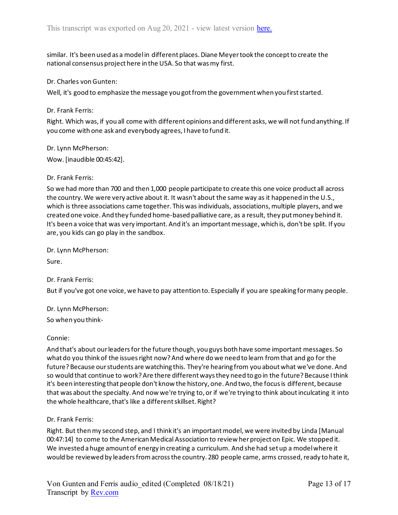similar. It's been used as a model in different places. Diane Meyer took the concept to create the national consensus project here in the USA. So that was my first.

Dr. Charles von Gunten:

Well, it's good to emphasize the message you got from the government when you first started.

Dr. Frank Ferris:

Right. Which was, if you all come with different opinions and different asks, we will not fund anything. If you come with one ask and everybody agrees, I have to fund it.

Dr. Lynn McPherson: Wow. [inaudible 00:45:42].

Dr. Frank Ferris:

So we had more than 700 and then 1,000 people participate to create this one voice product all across the country. We were very active about it. It wasn't about the same way as it happened in the U.S., which is three associations came together. This was individuals, associations, multiple players, and we created one voice. And they funded home-based palliative care, as a result, they put money behind it. It's been a voice that was very important. And it's an important message, which is, don't be split. If you are, you kids can go play in the sandbox.

Dr. Lynn McPherson:

Sure.

Dr. Frank Ferris:

But if you've got one voice, we have to pay attention to. Especially if you are speaking for many people.

Dr. Lynn McPherson:

So when you think-

Connie:

And that's about our leaders for the future though, you guys both have some important messages. So what do you think of the issues right now? And where do we need to learn from that and go for the future? Because our students are watching this. They're hearing from you about what we've done. And so would that continue to work? Are there different ways they need to go in the future? Because I think it's been interesting that people don't know the history, one. And two, the focus is different, because that was about the specialty. And now we're trying to, or if we're trying to think about inculcating it into the whole healthcare, that's like a different skillset. Right?

Dr. Frank Ferris:

Right. But then my second step, and I think it's an important model, we were invited by Linda [Manual 00:47:14] to come to the American Medical Association to review her project on Epic. We stopped it. We invested a huge amount of energy in creating a curriculum. And she had set up a model where it would be reviewed by leaders from across the country. 280 people came, arms crossed, ready to hate it,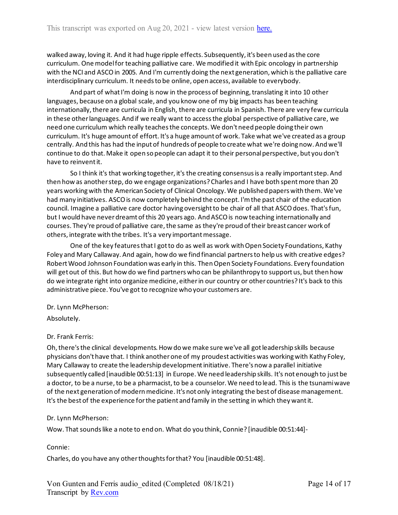walked away, loving it. And it had huge ripple effects. Subsequently, it's been used as the core curriculum. One model for teaching palliative care. We modified it with Epic oncology in partnership with the NCI and ASCO in 2005. And I'm currently doing the next generation, which is the palliative care interdisciplinary curriculum. It needs to be online, open access, available to everybody.

And part of what I'm doing is now in the process of beginning, translating it into 10 other languages, because on a global scale, and you know one of my big impacts has been teaching internationally, there are curricula in English, there are curricula in Spanish. There are very few curricula in these other languages. And if we really want to access the global perspective of palliative care, we need one curriculum which really teaches the concepts. We don't need people doing their own curriculum. It's huge amount of effort. It's a huge amount of work. Take what we've created as a group centrally. And this has had the input of hundreds of people to create what we're doing now. And we'll continue to do that. Make it open so people can adapt it to their personal perspective, but you don't have to reinvent it.

So I think it's that working together, it's the creating consensus is a really important step. And then how as another step, do we engage organizations? Charles and I have both spent more than 20 years working with the American Society of Clinical Oncology. We published papers with them. We've had many initiatives. ASCO is now completely behind the concept. I'm the past chair of the education council. Imagine a palliative care doctor having oversight to be chair of all that ASCO does. That's fun, but I would have never dreamt of this 20 years ago. And ASCO is now teaching internationally and courses. They're proud of palliative care, the same as they're proud of their breast cancer work of others, integrate with the tribes. It's a very important message.

One of the key features that I got to do as well as work with Open Society Foundations, Kathy Foley and Mary Callaway. And again, how do we find financial partners to help us with creative edges? Robert Wood Johnson Foundation was early in this. Then Open Society Foundations. Every foundation will get out of this. But how do we find partners who can be philanthropy to support us, but then how do we integrate right into organize medicine, either in our country or other countries? It's back to this administrative piece. You've got to recognize who your customers are.

## Dr. Lynn McPherson:

Absolutely.

## Dr. Frank Ferris:

Oh, there's the clinical developments. How do we make sure we've all got leadership skills because physicians don't have that. I think another one of my proudest activities was working with Kathy Foley, Mary Callaway to create the leadership development initiative. There's now a parallel initiative subsequently called [inaudible 00:51:13] in Europe. We need leadership skills. It's not enough to just be a doctor, to be a nurse, to be a pharmacist, to be a counselor. We need to lead. This is the tsunami wave of the next generation of modern medicine. It's not only integrating the best of disease management. It's the best of the experience for the patient and family in the setting in which they want it.

## Dr. Lynn McPherson:

Wow. That sounds like a note to end on. What do you think, Connie? [inaudible 00:51:44]-

#### Connie:

Charles, do you have any other thoughts for that? You [inaudible 00:51:48].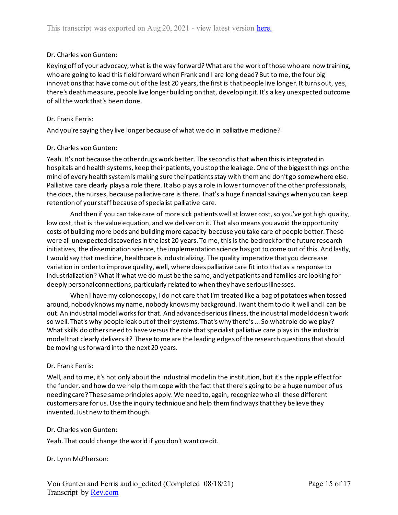### Dr. Charles von Gunten:

Keying off of your advocacy, what is the way forward? What are the work of those who are now training, who are going to lead this field forward when Frank and I are long dead? But to me, the four big innovations that have come out of the last 20 years, the first is that people live longer. It turns out, yes, there's death measure, people live longer building on that, developing it. It's a key unexpected outcome of all the work that's been done.

#### Dr. Frank Ferris:

And you're saying they live longer because of what we do in palliative medicine?

#### Dr. Charles von Gunten:

Yeah. It's not because the other drugs work better. The second is that when this is integrated in hospitals and health systems, keep their patients, you stop the leakage. One of the biggest things on the mind of every health system is making sure their patients stay with them and don't go somewhere else. Palliative care clearly plays a role there. It also plays a role in lower turnover of the other professionals, the docs, the nurses, because palliative care is there. That's a huge financial savings when you can keep retention of your staff because of specialist palliative care.

And then if you can take care of more sick patients well at lower cost, so you've got high quality, low cost, that is the value equation, and we deliver on it. That also means you avoid the opportunity costs of building more beds and building more capacity because you take care of people better. These were all unexpected discoveries in the last 20 years. To me, this is the bedrock for the future research initiatives, the dissemination science, the implementation science has got to come out of this. And lastly, I would say that medicine, healthcare is industrializing. The quality imperative that you decrease variation in order to improve quality, well, where does palliative care fit into that as a response to industrialization? What if what we do must be the same, and yet patients and families are looking for deeply personal connections, particularly related to when they have serious illnesses.

When I have my colonoscopy, I do not care that I'm treated like a bag of potatoes when tossed around, nobody knows my name, nobody knows my background. I want them to do it well and I can be out. An industrial model works for that. And advanced serious illness, the industrial model doesn't work so well. That's why people leak out of their systems. That's why there's ... So what role do we play? What skills do others need to have versus the role that specialist palliative care plays in the industrial model that clearly delivers it? These to me are the leading edges of the research questions that should be moving us forward into the next 20 years.

#### Dr. Frank Ferris:

Well, and to me, it's not only about the industrial model in the institution, but it's the ripple effect for the funder, and how do we help them cope with the fact that there's going to be a huge number of us needing care? These same principles apply. We need to, again, recognize who all these different customers are for us. Use the inquiry technique and help them find ways that they believe they invented. Just new to them though.

#### Dr. Charles von Gunten:

Yeah. That could change the world if you don't want credit.

#### Dr. Lynn McPherson: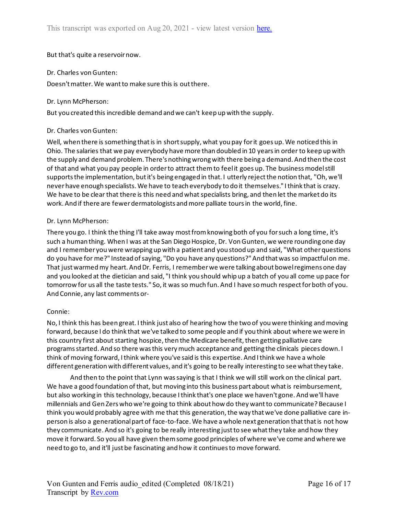But that's quite a reservoir now.

### Dr. Charles von Gunten:

Doesn't matter. We want to make sure this is out there.

### Dr. Lynn McPherson:

But you created this incredible demand and we can't keep up with the supply.

## Dr. Charles von Gunten:

Well, when there is something that is in short supply, what you pay for it goes up. We noticed this in Ohio. The salaries that we pay everybody have more than doubled in 10 years in order to keep up with the supply and demand problem. There's nothing wrong with there being a demand. And then the cost of that and what you pay people in order to attract them to feel it goes up. The business model still supports the implementation, but it's being engaged in that. I utterly reject the notion that, "Oh, we'll never have enough specialists. We have to teach everybody to do it themselves." Ithink that is crazy. We have to be clear that there is this need and what specialists bring, and then let the market do its work. And if there are fewer dermatologists and more palliate tours in the world, fine.

### Dr. Lynn McPherson:

There you go. I think the thing I'll take away most from knowing both of you for such a long time, it's such a human thing. When I was at the San Diego Hospice, Dr. Von Gunten, we were rounding one day and I remember you were wrapping up with a patient and you stood up and said, "What other questions do you have for me?" Instead of saying, "Do you have any questions?" And that was so impactful on me. That just warmed my heart. And Dr. Ferris, I remember we were talking about bowel regimens one day and you looked at the dietician and said, "I think you should whip up a batch of you all come up pace for tomorrow for us all the taste tests." So, it was so much fun. And I have so much respect for both of you. And Connie, any last comments or-

#### Connie:

No, I think this has been great. I think just also of hearing how the two of you were thinking and moving forward, because I do think that we've talked to some people and if you think about where we were in this country first about starting hospice, then the Medicare benefit, then getting palliative care programs started. And so there was this very much acceptance and getting the clinicals pieces down. I think of moving forward, I think where you've said is this expertise. And I think we have a whole different generation with different values, and it's going to be really interesting to see what they take.

And then to the point that Lynn was saying is that I think we will still work on the clinical part. We have a good foundation of that, but moving into this business part about what is reimbursement, but also working in this technology, because I think that's one place we haven't gone. And we'll have millennials and Gen Zers who we're going to think about how do they want to communicate? Because I think you would probably agree with me that this generation, the way that we've done palliative care inperson is also a generational part of face-to-face. We have a whole next generation that that is not how they communicate. And so it's going to be really interesting just to see what they take and how they move it forward. So you all have given them some good principles of where we've come and where we need to go to, and it'll just be fascinating and how it continues to move forward.